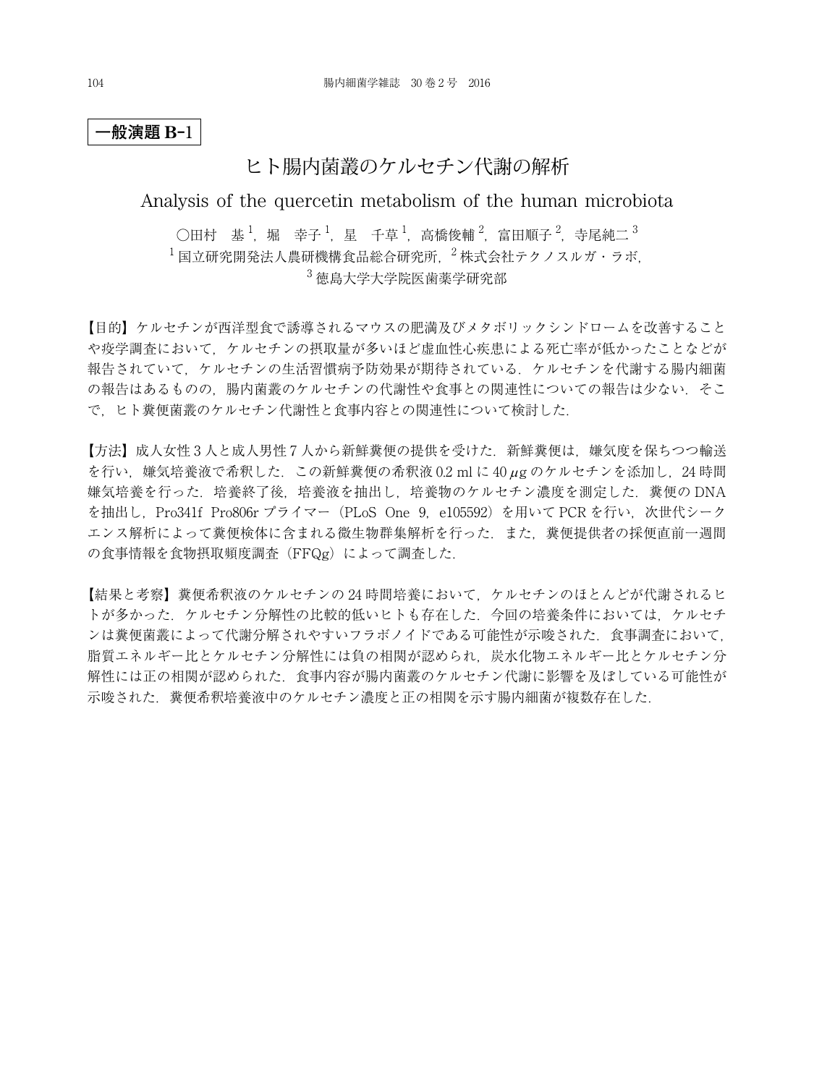## ヒト腸内菌叢のケルセチン代謝の解析

### Analysis of the quercetin metabolism of the human microbiota

○田村 基  $^1$ ,堀 幸子  $^1$ ,星 千草  $^1$ ,高橋俊輔  $^2$ ,富田順子  $^2$ ,寺尾純二  $^3$  $^{-1}$ 国立研究開発法人農研機構食品総合研究所  $^{-2}$ 株式会社テクノスルガ・ラボ <sup>3</sup> 徳島大学大学院医歯薬学研究部

【目的】ケルセチンが西洋型食で誘導されるマウスの肥満及びメタボリックシンドロームを改善すること や疫学調査において,ケルセチンの摂取量が多いほど虚血性心疾患による死亡率が低かったことなどが 報告されていて,ケルセチンの生活習慣病予防効果が期待されている.ケルセチンを代謝する腸内細菌 の報告はあるものの,腸内菌叢のケルセチンの代謝性や食事との関連性についての報告は少ない.そこ で,ヒト糞便菌叢のケルセチン代謝性と食事内容との関連性について検討した.

【方法】成人女性 3 人と成人男性 7 人から新鮮糞便の提供を受けた.新鮮糞便は,嫌気度を保ちつつ輸送 を行い,嫌気培養液で希釈した.この新鮮糞便の希釈液 0.2 ml に 40 µg のケルセチンを添加し,24 時間 嫌気培養を行った.培養終了後,培養液を抽出し,培養物のケルセチン濃度を測定した.糞便の DNA を抽出し, Pro341f Pro806r プライマー (PLoS One 9, e105592) を用いて PCR を行い, 次世代シーク エンス解析によって糞便検体に含まれる微生物群集解析を行った.また,糞便提供者の採便直前一週間 の食事情報を食物摂取頻度調査(FFQg)によって調査した.

【結果と考察】糞便希釈液のケルセチンの 24 時間培養において,ケルセチンのほとんどが代謝されるヒ トが多かった.ケルセチン分解性の比較的低いヒトも存在した.今回の培養条件においては,ケルセチ ンは糞便菌叢によって代謝分解されやすいフラボノイドである可能性が示唆された.食事調査において, 脂質エネルギー比とケルセチン分解性には負の相関が認められ、炭水化物エネルギー比とケルセチン分 解性には正の相関が認められた.食事内容が腸内菌叢のケルセチン代謝に影響を及ぼしている可能性が 示唆された.糞便希釈培養液中のケルセチン濃度と正の相関を示す腸内細菌が複数存在した.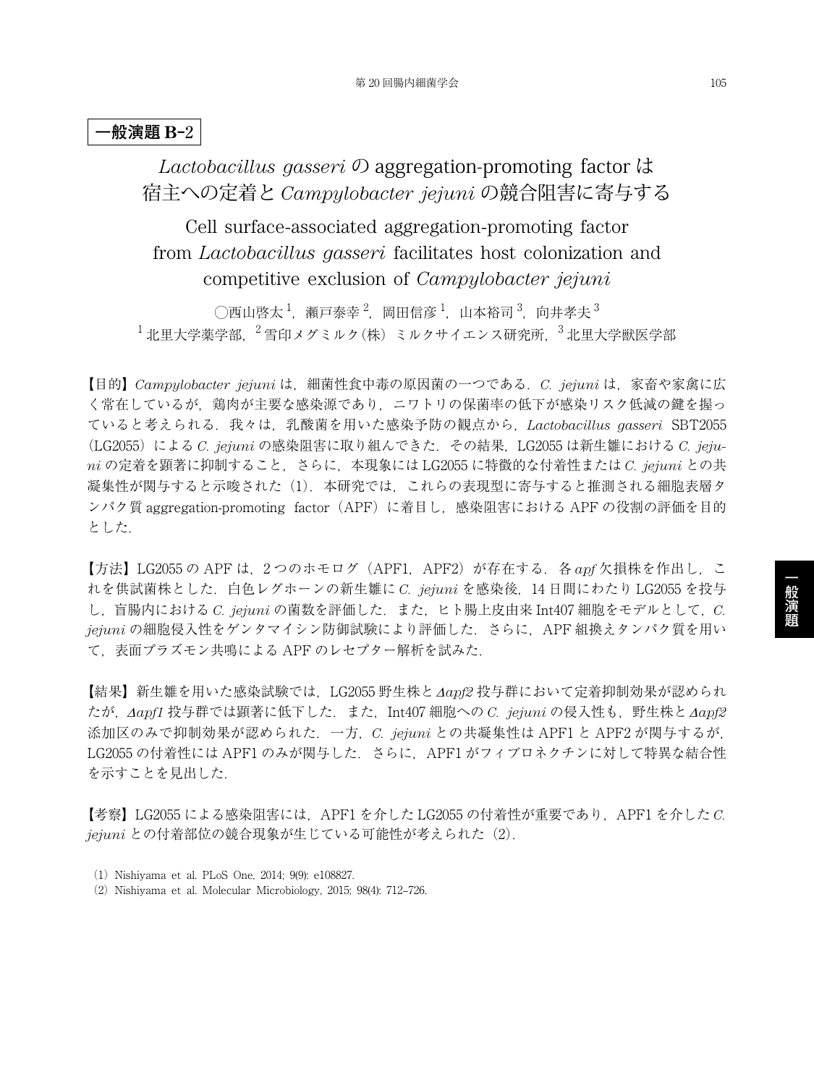# *Lactobacillus gasseri* の aggregation-promoting factor は 宿主への定着と *Campylobacter jejuni* の競合阻害に寄与する

Cell surface-associated aggregation-promoting factor from *Lactobacillus gasseri* facilitates host colonization and competitive exclusion of *Campylobacter jejuni*

◯西山啓太 $^1$ ,瀬戸泰幸 $^2$ ,岡田信彦 $^1$ ,山本裕司 $^3$ ,向井孝夫 $^3$  $^{-1}$ 北里大学薬学部,  $^{-2}$ 雪印メグミルク(株) ミルクサイエンス研究所,  $^{-3}$ 北里大学獣医学部

【目的】*Campylobacter jejuni* は,細菌性食中毒の原因菌の一つである.*C. jejuni* は,家畜や家禽に広 く常在しているが,鶏肉が主要な感染源であり,ニワトリの保菌率の低下が感染リスク低減の鍵を握っ ていると考えられる.我々は,乳酸菌を用いた感染予防の観点から,*Lactobacillus gasseri* SBT2055 (LG2055)による *C. jejuni* の感染阻害に取り組んできた.その結果,LG2055 は新生雛における *C. jejuni* の定着を顕著に抑制すること,さらに,本現象には LG2055 に特徴的な付着性または *C. jejuni* との共 凝集性が関与すると示唆された(1).本研究では,これらの表現型に寄与すると推測される細胞表層タ ンパク質 aggregation-promoting factor (APF) に着目し、感染阻害における APF の役割の評価を目的 とした.

【方法】LG2055 の APF は,2 つのホモログ(APF1,APF2)が存在する.各 *apf* 欠損株を作出し,こ れを供試菌株とした.白色レグホーンの新生雛に *C. jejuni* を感染後,14 日間にわたり LG2055 を投与 し,盲腸内における *C. jejuni* の菌数を評価した.また,ヒト腸上皮由来 Int407 細胞をモデルとして,*C. jejuni* の細胞侵入性をゲンタマイシン防御試験により評価した.さらに,APF 組換えタンパク質を用い て,表面プラズモン共鳴による APF のレセプター解析を試みた.

【結果】新生雛を用いた感染試験では,LG2055 野生株と∆*apf2* 投与群において定着抑制効果が認められ たが,∆*apf1* 投与群では顕著に低下した.また,Int407 細胞への *C. jejuni* の侵入性も,野生株と∆*apf2* 添加区のみで抑制効果が認められた.一方,*C. jejuni* との共凝集性は APF1 と APF2 が関与するが, LG2055 の付着性には APF1 のみが関与した. さらに、APF1 がフィブロネクチンに対して特異な結合性 を示すことを見出した.

【考察】LG2055 による感染阻害には,APF1 を介した LG2055 の付着性が重要であり,APF1 を介した *C. jejuni* との付着部位の競合現象が生じている可能性が考えられた(2).

- (1) Nishiyama et al. PLoS One, 2014; 9(9): e108827.
- (2) Nishiyama et al. Molecular Microbiology, 2015; 98(4): 712‒726.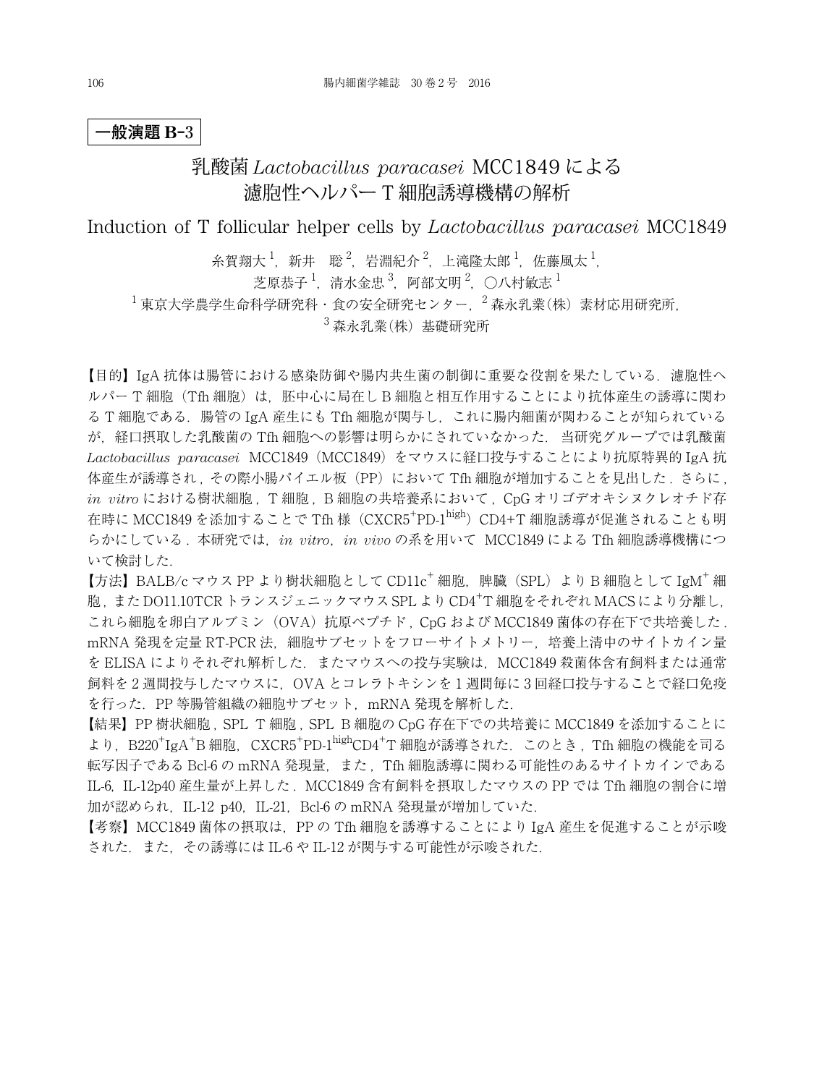# 乳酸菌 *Lactobacillus paracasei* MCC1849 による 濾胞性ヘルパー T 細胞誘導機構の解析

Induction of T follicular helper cells by *Lactobacillus paracasei* MCC1849

糸賀翔大  $^1$ ,新井 聡  $^2$ ,岩淵紀介  $^2$ ,上滝隆太郎  $^1$ ,佐藤風太  $^1$ ,

芝原恭子  $^1$ ,清水金忠  $^3$ ,阿部文明  $^2$ ,〇八村敏志  $^1$ 

 $^{-1}$ 東京大学農学生命科学研究科·食の安全研究センター,  $^{-2}$ 森永乳業(株) 素材応用研究所,

 $3 \n *44.3*$  森永乳業 $(k)$  基礎研究所

【目的】IgA 抗体は腸管における感染防御や腸内共生菌の制御に重要な役割を果たしている. 濾胞性ヘ ルパー T 細胞(Tfh 細胞)は,胚中心に局在し B 細胞と相互作用することにより抗体産生の誘導に関わ る T 細胞である.腸管の IgA 産生にも Tfh 細胞が関与し,これに腸内細菌が関わることが知られている が,経口摂取した乳酸菌の Tfh 細胞への影響は明らかにされていなかった. 当研究グループでは乳酸菌 *Lactobacillus paracasei* MCC1849(MCC1849)をマウスに経口投与することにより抗原特異的 IgA 抗 体産生が誘導され、その際小腸パイエル板 (PP)において Tfh 細胞が増加することを見出した. さらに, *in vitro* における樹状細胞 , T 細胞 , B 細胞の共培養系において , CpG オリゴデオキシヌクレオチド存 在時に MCC1849 を添加することで Tfh 様 (CXCR5<sup>+</sup>PD-1<sup>high</sup>) CD4+T 細胞誘導が促進されることも明 らかにしている . 本研究では,*in vitro*,*in vivo* の系を用いて MCC1849 による Tfh 細胞誘導機構につ いて検討した.

【方法】BALB/c マウス PP より樹状細胞として CD11c<sup>+</sup> 細胞, 脾臓 (SPL) より B 細胞として IgM<sup>+</sup> 細 胞, また DO11.10TCR トランスジェニックマウス SPL より CD4<sup>+</sup>T 細胞をそれぞれ MACS により分離し, これら細胞を卵白アルブミン (OVA)抗原ペプチド, CpG および MCC1849 菌体の存在下で共培養した. mRNA 発現を定量 RT-PCR 法, 細胞サブセットをフローサイトメトリー, 培養上清中のサイトカイン量 を ELISA によりそれぞれ解析した. またマウスへの投与実験は、MCC1849 殺菌体含有飼料または通常 飼料を 2 週間投与したマウスに,OVA とコレラトキシンを 1 週間毎に 3 回経口投与することで経口免疫 を行った.PP 等腸管組織の細胞サブセット,mRNA 発現を解析した.

【結果】PP 樹状細胞 , SPL T 細胞 , SPL B 細胞の CpG 存在下での共培養に MCC1849 を添加することに より, B220<sup>+</sup>IgA<sup>+</sup>B 細胞, CXCR5<sup>+</sup>PD-1<sup>high</sup>CD4<sup>+</sup>T 細胞が誘導された. このとき, Tfh 細胞の機能を司る 転写因子である Bcl-6 の mRNA 発現量,また , Tfh 細胞誘導に関わる可能性のあるサイトカインである IL-6, IL-12p40 産生量が上昇した . MCC1849 含有飼料を摂取したマウスの PP では Tfh 細胞の割合に増 加が認められ, IL-12 p40, IL-21, Bcl-6 の mRNA 発現量が増加していた.

【考察】MCC1849 菌体の摂取は,PP の Tfh 細胞を誘導することにより IgA 産生を促進することが示唆 された.また,その誘導には IL-6 や IL-12 が関与する可能性が示唆された.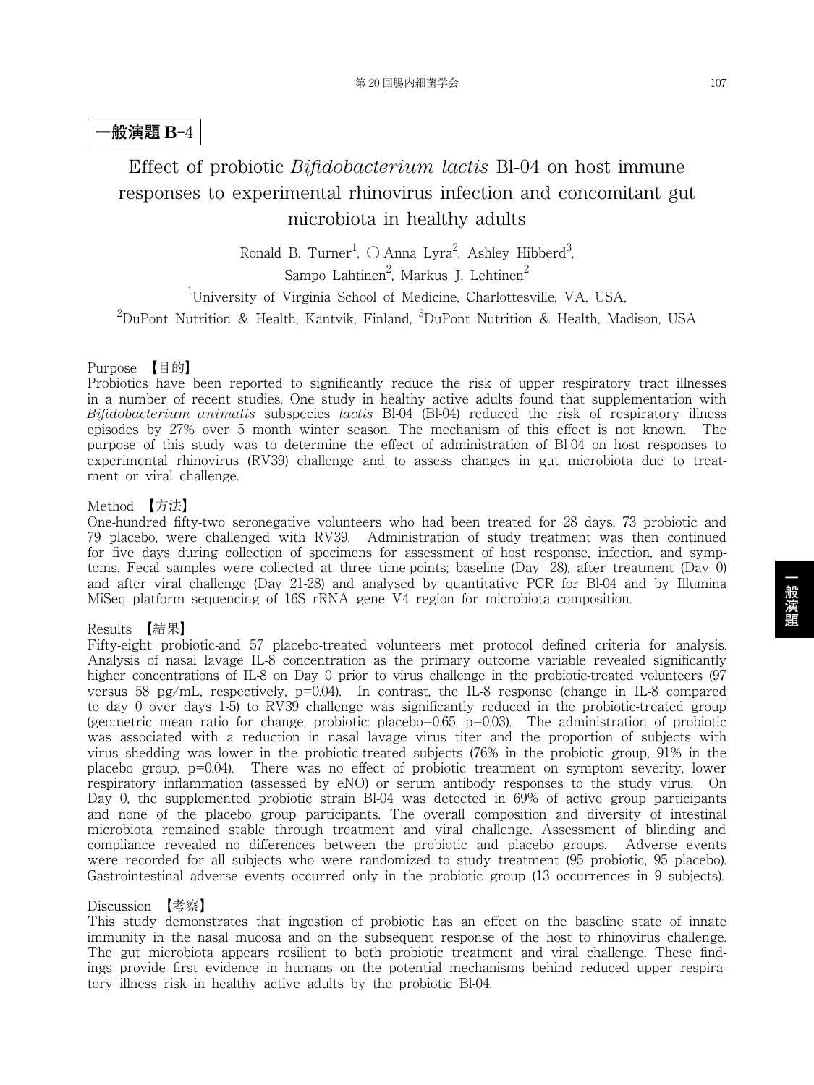# Effect of probiotic *Bifidobacterium lactis* Bl-04 on host immune responses to experimental rhinovirus infection and concomitant gut microbiota in healthy adults

Ronald B. Turner<sup>1</sup>,  $\bigcirc$  Anna Lyra<sup>2</sup>, Ashley Hibberd<sup>3</sup>, Sampo Lahtinen $^2$ , Markus J. Lehtinen $^2$ 

1 University of Virginia School of Medicine, Charlottesville, VA, USA,  $^2$ DuPont Nutrition & Health, Kantvik, Finland,  $^3$ DuPont Nutrition & Health, Madison, USA

### Purpose 【目的】

Probiotics have been reported to significantly reduce the risk of upper respiratory tract illnesses in a number of recent studies. One study in healthy active adults found that supplementation with *Bifidobacterium animalis* subspecies *lactis* Bl-04 (Bl-04) reduced the risk of respiratory illness episodes by 27% over 5 month winter season. The mechanism of this effect is not known. The purpose of this study was to determine the effect of administration of Bl-04 on host responses to experimental rhinovirus (RV39) challenge and to assess changes in gut microbiota due to treatment or viral challenge.

### Method 【方法】

One-hundred fifty-two seronegative volunteers who had been treated for 28 days, 73 probiotic and 79 placebo, were challenged with RV39. Administration of study treatment was then continued for five days during collection of specimens for assessment of host response, infection, and symptoms. Fecal samples were collected at three time-points; baseline (Day -28), after treatment (Day 0) and after viral challenge (Day 21-28) and analysed by quantitative PCR for Bl-04 and by Illumina MiSeq platform sequencing of 16S rRNA gene V4 region for microbiota composition.

#### Results 【結果】

Fifty-eight probiotic-and 57 placebo-treated volunteers met protocol defined criteria for analysis. Analysis of nasal lavage IL-8 concentration as the primary outcome variable revealed significantly higher concentrations of IL-8 on Day 0 prior to virus challenge in the probiotic-treated volunteers (97) versus 58 pg/mL, respectively, p=0.04). In contrast, the IL-8 response (change in IL-8 compared to day 0 over days 1-5) to RV39 challenge was significantly reduced in the probiotic-treated group (geometric mean ratio for change, probiotic: placebo=0.65, p=0.03). The administration of probiotic was associated with a reduction in nasal lavage virus titer and the proportion of subjects with virus shedding was lower in the probiotic-treated subjects (76% in the probiotic group, 91% in the placebo group, p=0.04). There was no effect of probiotic treatment on symptom severity, lower respiratory inflammation (assessed by eNO) or serum antibody responses to the study virus. On Day 0, the supplemented probiotic strain Bl-04 was detected in 69% of active group participants and none of the placebo group participants. The overall composition and diversity of intestinal microbiota remained stable through treatment and viral challenge. Assessment of blinding and compliance revealed no differences between the probiotic and placebo groups. Adverse events were recorded for all subjects who were randomized to study treatment (95 probiotic, 95 placebo). Gastrointestinal adverse events occurred only in the probiotic group (13 occurrences in 9 subjects).

#### Discussion 【考察】

This study demonstrates that ingestion of probiotic has an effect on the baseline state of innate immunity in the nasal mucosa and on the subsequent response of the host to rhinovirus challenge. The gut microbiota appears resilient to both probiotic treatment and viral challenge. These findings provide first evidence in humans on the potential mechanisms behind reduced upper respiratory illness risk in healthy active adults by the probiotic Bl-04.